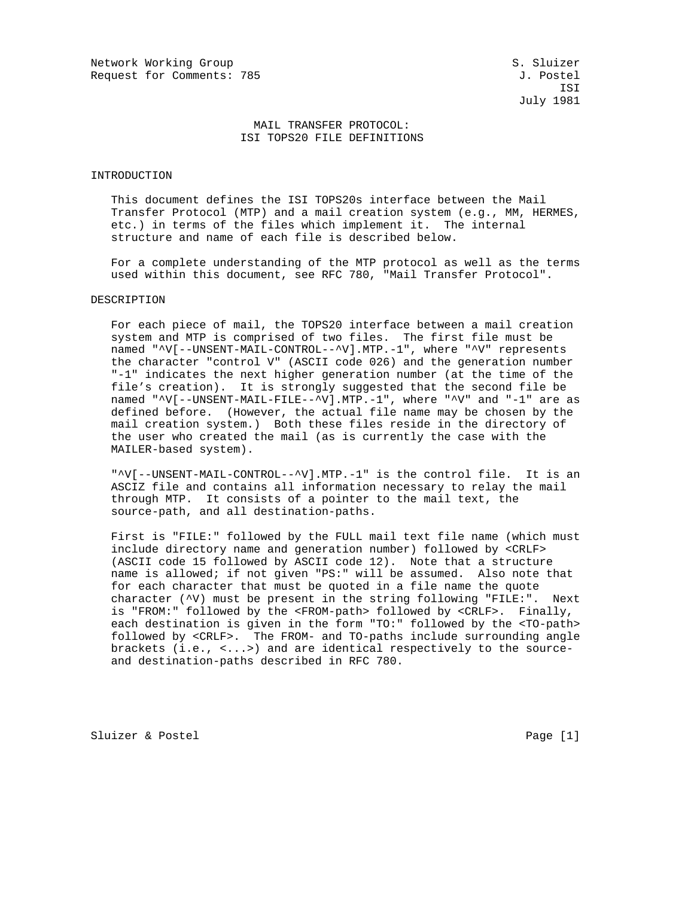ISI July 1981

## MAIL TRANSFER PROTOCOL: ISI TOPS20 FILE DEFINITIONS

#### INTRODUCTION

 This document defines the ISI TOPS20s interface between the Mail Transfer Protocol (MTP) and a mail creation system (e.g., MM, HERMES, etc.) in terms of the files which implement it. The internal structure and name of each file is described below.

 For a complete understanding of the MTP protocol as well as the terms used within this document, see RFC 780, "Mail Transfer Protocol".

## DESCRIPTION

 For each piece of mail, the TOPS20 interface between a mail creation system and MTP is comprised of two files. The first file must be named "^V[--UNSENT-MAIL-CONTROL--^V].MTP.-1", where "^V" represents the character "control V" (ASCII code 026) and the generation number "-1" indicates the next higher generation number (at the time of the file's creation). It is strongly suggested that the second file be named "^V[--UNSENT-MAIL-FILE--^V].MTP.-1", where "^V" and "-1" are as defined before. (However, the actual file name may be chosen by the mail creation system.) Both these files reside in the directory of the user who created the mail (as is currently the case with the MAILER-based system).

 "^V[--UNSENT-MAIL-CONTROL--^V].MTP.-1" is the control file. It is an ASCIZ file and contains all information necessary to relay the mail through MTP. It consists of a pointer to the mail text, the source-path, and all destination-paths.

 First is "FILE:" followed by the FULL mail text file name (which must include directory name and generation number) followed by <CRLF> (ASCII code 15 followed by ASCII code 12). Note that a structure name is allowed; if not given "PS:" will be assumed. Also note that for each character that must be quoted in a file name the quote character (^V) must be present in the string following "FILE:". Next is "FROM:" followed by the <FROM-path> followed by <CRLF>. Finally, each destination is given in the form "TO:" followed by the <TO-path> followed by <CRLF>. The FROM- and TO-paths include surrounding angle brackets (i.e., <...>) and are identical respectively to the source and destination-paths described in RFC 780.

Sluizer & Postel Page [1]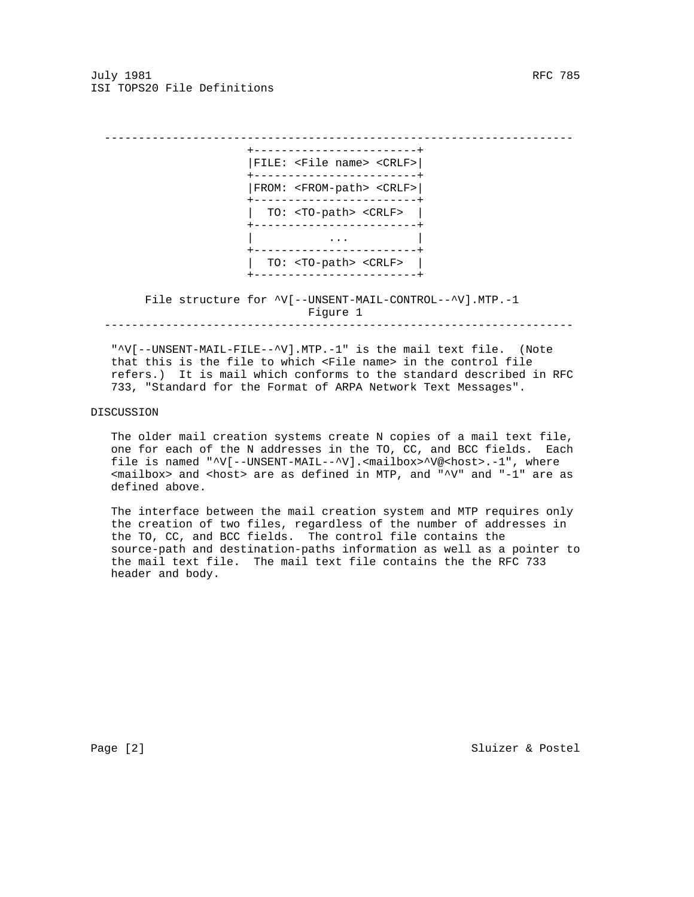July 1981 RFC 785 ISI TOPS20 File Definitions

 --------------------------------------------------------------------- +------------------------+ |FILE: <File name> <CRLF>| +------------------------+ |FROM: <FROM-path> <CRLF>| +------------------------+ | TO: <TO-path> <CRLF> | +------------------------+ | ... | ... | ... | ... | ... | ... | ... | ... | ... | ... | ... | ... | ... | ... | ... | ... | ... | ... | . +------------------------+ | TO: <TO-path> <CRLF> | +------------------------+ File structure for ^V[--UNSENT-MAIL-CONTROL--^V].MTP.-1 Figure 1 ---------------------------------------------------------------------

 "^V[--UNSENT-MAIL-FILE--^V].MTP.-1" is the mail text file. (Note that this is the file to which <File name> in the control file refers.) It is mail which conforms to the standard described in RFC 733, "Standard for the Format of ARPA Network Text Messages".

#### DISCUSSION

 The older mail creation systems create N copies of a mail text file, one for each of the N addresses in the TO, CC, and BCC fields. Each file is named "^V[--UNSENT-MAIL--^V].<mailbox>^V@<host>.-1", where <mailbox> and <host> are as defined in MTP, and "^V" and "-1" are as defined above.

 The interface between the mail creation system and MTP requires only the creation of two files, regardless of the number of addresses in the TO, CC, and BCC fields. The control file contains the source-path and destination-paths information as well as a pointer to the mail text file. The mail text file contains the the RFC 733 header and body.

Page [2] Sluizer & Postel